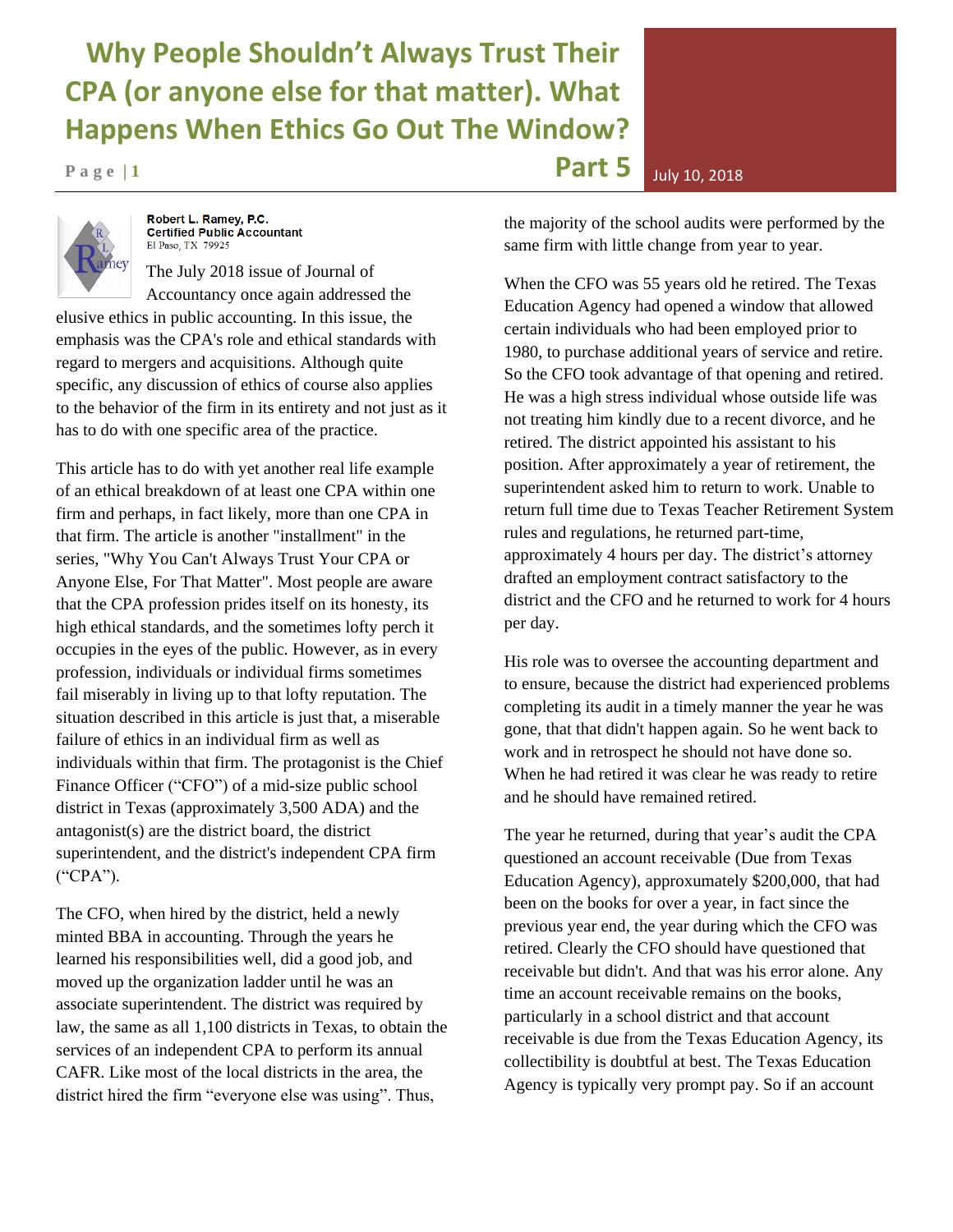## **Why People Shouldn't Always Trust Their CPA (or anyone else for that matter). What Happens When Ethics Go Out The Window?**

**P** a g e | 1 **Part 5 D**  $\frac{1}{2}$  **Part 5**  $\frac{1}{2}$  **Part 5**  $\frac{1}{2}$  **Part 5** 



Robert L. Ramey, P.C. Certified Public Accountant El Paso, TX 79925

The July 2018 issue of Journal of Accountancy once again addressed the elusive ethics in public accounting. In this issue, the emphasis was the CPA's role and ethical standards with regard to mergers and acquisitions. Although quite specific, any discussion of ethics of course also applies to the behavior of the firm in its entirety and not just as it has to do with one specific area of the practice.

This article has to do with yet another real life example of an ethical breakdown of at least one CPA within one firm and perhaps, in fact likely, more than one CPA in that firm. The article is another "installment" in the series, "Why You Can't Always Trust Your CPA or Anyone Else, For That Matter". Most people are aware that the CPA profession prides itself on its honesty, its high ethical standards, and the sometimes lofty perch it occupies in the eyes of the public. However, as in every profession, individuals or individual firms sometimes fail miserably in living up to that lofty reputation. The situation described in this article is just that, a miserable failure of ethics in an individual firm as well as individuals within that firm. The protagonist is the Chief Finance Officer ("CFO") of a mid-size public school district in Texas (approximately 3,500 ADA) and the antagonist(s) are the district board, the district superintendent, and the district's independent CPA firm ("CPA").

The CFO, when hired by the district, held a newly minted BBA in accounting. Through the years he learned his responsibilities well, did a good job, and moved up the organization ladder until he was an associate superintendent. The district was required by law, the same as all 1,100 districts in Texas, to obtain the services of an independent CPA to perform its annual CAFR. Like most of the local districts in the area, the district hired the firm "everyone else was using". Thus,

the majority of the school audits were performed by the same firm with little change from year to year.

When the CFO was 55 years old he retired. The Texas Education Agency had opened a window that allowed certain individuals who had been employed prior to 1980, to purchase additional years of service and retire. So the CFO took advantage of that opening and retired. He was a high stress individual whose outside life was not treating him kindly due to a recent divorce, and he retired. The district appointed his assistant to his position. After approximately a year of retirement, the superintendent asked him to return to work. Unable to return full time due to Texas Teacher Retirement System rules and regulations, he returned part-time, approximately 4 hours per day. The district's attorney drafted an employment contract satisfactory to the district and the CFO and he returned to work for 4 hours per day.

His role was to oversee the accounting department and to ensure, because the district had experienced problems completing its audit in a timely manner the year he was gone, that that didn't happen again. So he went back to work and in retrospect he should not have done so. When he had retired it was clear he was ready to retire and he should have remained retired.

The year he returned, during that year's audit the CPA questioned an account receivable (Due from Texas Education Agency), approxumately \$200,000, that had been on the books for over a year, in fact since the previous year end, the year during which the CFO was retired. Clearly the CFO should have questioned that receivable but didn't. And that was his error alone. Any time an account receivable remains on the books, particularly in a school district and that account receivable is due from the Texas Education Agency, its collectibility is doubtful at best. The Texas Education Agency is typically very prompt pay. So if an account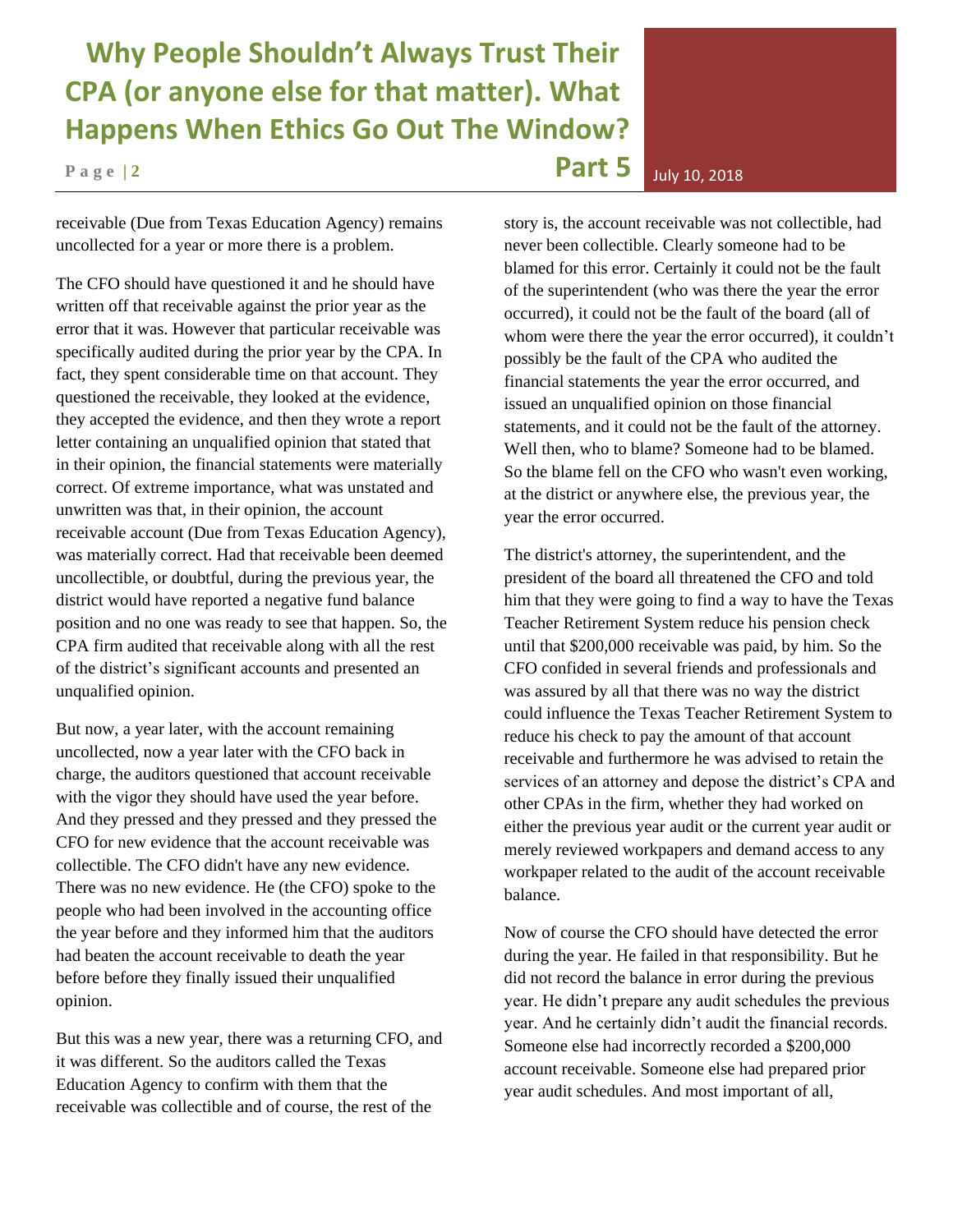## **Why People Shouldn't Always Trust Their CPA (or anyone else for that matter). What Happens When Ethics Go Out The Window?**

receivable (Due from Texas Education Agency) remains uncollected for a year or more there is a problem.

The CFO should have questioned it and he should have written off that receivable against the prior year as the error that it was. However that particular receivable was specifically audited during the prior year by the CPA. In fact, they spent considerable time on that account. They questioned the receivable, they looked at the evidence, they accepted the evidence, and then they wrote a report letter containing an unqualified opinion that stated that in their opinion, the financial statements were materially correct. Of extreme importance, what was unstated and unwritten was that, in their opinion, the account receivable account (Due from Texas Education Agency), was materially correct. Had that receivable been deemed uncollectible, or doubtful, during the previous year, the district would have reported a negative fund balance position and no one was ready to see that happen. So, the CPA firm audited that receivable along with all the rest of the district's significant accounts and presented an unqualified opinion.

But now, a year later, with the account remaining uncollected, now a year later with the CFO back in charge, the auditors questioned that account receivable with the vigor they should have used the year before. And they pressed and they pressed and they pressed the CFO for new evidence that the account receivable was collectible. The CFO didn't have any new evidence. There was no new evidence. He (the CFO) spoke to the people who had been involved in the accounting office the year before and they informed him that the auditors had beaten the account receivable to death the year before before they finally issued their unqualified opinion.

But this was a new year, there was a returning CFO, and it was different. So the auditors called the Texas Education Agency to confirm with them that the receivable was collectible and of course, the rest of the

story is, the account receivable was not collectible, had never been collectible. Clearly someone had to be blamed for this error. Certainly it could not be the fault of the superintendent (who was there the year the error occurred), it could not be the fault of the board (all of whom were there the year the error occurred), it couldn't possibly be the fault of the CPA who audited the financial statements the year the error occurred, and issued an unqualified opinion on those financial statements, and it could not be the fault of the attorney. Well then, who to blame? Someone had to be blamed. So the blame fell on the CFO who wasn't even working, at the district or anywhere else, the previous year, the year the error occurred.

The district's attorney, the superintendent, and the president of the board all threatened the CFO and told him that they were going to find a way to have the Texas Teacher Retirement System reduce his pension check until that \$200,000 receivable was paid, by him. So the CFO confided in several friends and professionals and was assured by all that there was no way the district could influence the Texas Teacher Retirement System to reduce his check to pay the amount of that account receivable and furthermore he was advised to retain the services of an attorney and depose the district's CPA and other CPAs in the firm, whether they had worked on either the previous year audit or the current year audit or merely reviewed workpapers and demand access to any workpaper related to the audit of the account receivable balance.

Now of course the CFO should have detected the error during the year. He failed in that responsibility. But he did not record the balance in error during the previous year. He didn't prepare any audit schedules the previous year. And he certainly didn't audit the financial records. Someone else had incorrectly recorded a \$200,000 account receivable. Someone else had prepared prior year audit schedules. And most important of all,

**P** a g e | 2 **Part 5 D**  $\frac{1}{2}$  **Part 5**  $\frac{1}{2}$  **Part 5**